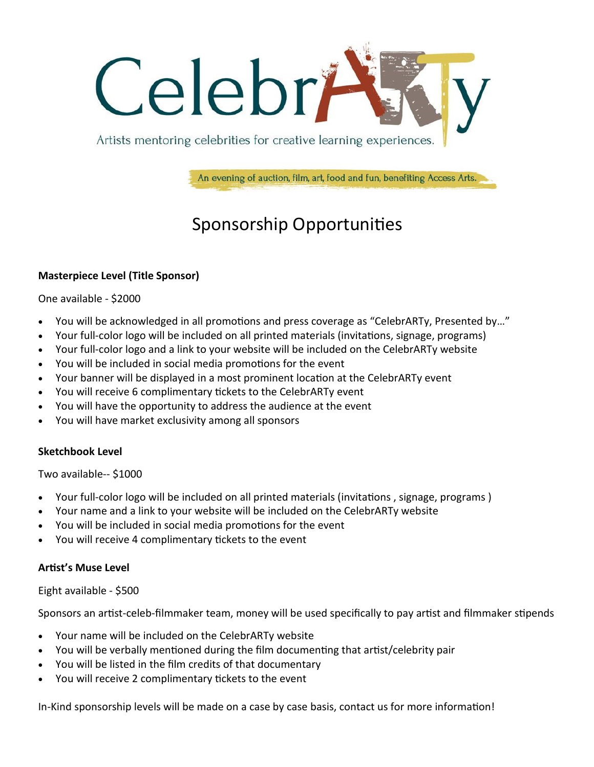

An evening of auction, film, art, food and fun, benefiting Access Arts.

# Sponsorship Opportunities

### **Masterpiece Level (Title Sponsor)**

One available - \$2000

- You will be acknowledged in all promotions and press coverage as "CelebrARTy, Presented by…"
- Your full-color logo will be included on all printed materials (invitations, signage, programs)
- Your full-color logo and a link to your website will be included on the CelebrARTy website
- You will be included in social media promotions for the event
- Your banner will be displayed in a most prominent location at the CelebrARTy event
- You will receive 6 complimentary tickets to the CelebrARTy event
- You will have the opportunity to address the audience at the event
- You will have market exclusivity among all sponsors

### **Sketchbook Level**

Two available-- \$1000

- Your full-color logo will be included on all printed materials (invitations , signage, programs )
- Your name and a link to your website will be included on the CelebrARTy website
- You will be included in social media promotions for the event
- You will receive 4 complimentary tickets to the event

### **Artist's Muse Level**

#### Eight available - \$500

Sponsors an artist-celeb-filmmaker team, money will be used specifically to pay artist and filmmaker stipends

- Your name will be included on the CelebrARTy website
- You will be verbally mentioned during the film documenting that artist/celebrity pair
- You will be listed in the film credits of that documentary
- You will receive 2 complimentary tickets to the event

In-Kind sponsorship levels will be made on a case by case basis, contact us for more information!